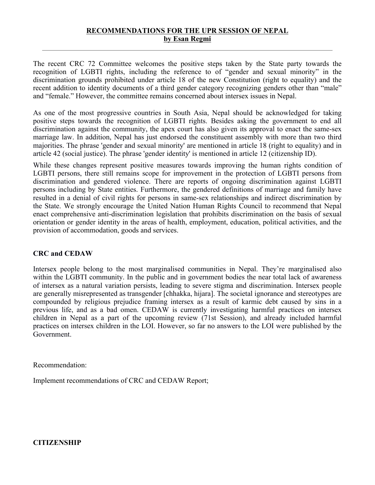## **RECOMMENDATIONS FOR THE UPR SESSION OF NEPAL by Esan Regmi**

The recent CRC 72 Committee welcomes the positive steps taken by the State party towards the recognition of LGBTI rights, including the reference to of "gender and sexual minority" in the discrimination grounds prohibited under article 18 of the new Constitution (right to equality) and the recent addition to identity documents of a third gender category recognizing genders other than "male" and "female." However, the committee remains concerned about intersex issues in Nepal.

As one of the most progressive countries in South Asia, Nepal should be acknowledged for taking positive steps towards the recognition of LGBTI rights. Besides asking the governmen<sup>t</sup> to end all discrimination against the community, the apex court has also given its approval to enact the same-sex marriage law. In addition, Nepal has just endorsed the constituent assembly with more than two third majorities. The phrase 'gender and sexual minority' are mentioned in article 18 (right to equality) and in article 42 (social justice). The phrase 'gender identity' is mentioned in article 12 (citizenship ID).

While these changes represen<sup>t</sup> positive measures towards improving the human rights condition of LGBTI persons, there still remains scope for improvement in the protection of LGBTI persons from discrimination and gendered violence. There are reports of ongoing discrimination against LGBTI persons including by State entities. Furthermore, the gendered definitions of marriage and family have resulted in <sup>a</sup> denial of civil rights for persons in same-sex relationships and indirect discrimination by the State. We strongly encourage the United Nation Human Rights Council to recommend that Nepal enact comprehensive anti-discrimination legislation that prohibits discrimination on the basis of sexual orientation or gender identity in the areas of health, employment, education, political activities, and the provision of accommodation, goods and services.

## **CRC and CEDAW**

Intersex people belong to the most marginalised communities in Nepal. They're marginalised also within the LGBTI community. In the public and in government bodies the near total lack of awareness of intersex as <sup>a</sup> natural variation persists, leading to severe stigma and discrimination. Intersex people are generally misrepresented as transgender [chhakka, hijara]. The societal ignorance and stereotypes are compounded by religious prejudice framing intersex as <sup>a</sup> result of karmic debt caused by sins in <sup>a</sup> previous life, and as <sup>a</sup> bad omen. CEDAW is currently investigating harmful practices on intersex children in Nepal as <sup>a</sup> par<sup>t</sup> of the upcoming review (71st Session), and already included harmful practices on intersex children in the LOI. However, so far no answers to the LOI were published by the Government.

Recommendation:

Implement recommendations of CRC and CEDAW Report;

**CITIZENSHIP**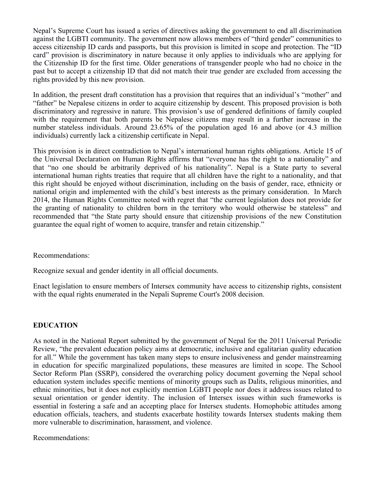Nepal'<sup>s</sup> Supreme Court has issued <sup>a</sup> series of directives asking the governmen<sup>t</sup> to end all discrimination against the LGBTI community. The governmen<sup>t</sup> now allows members of "third gender" communities to access citizenship ID cards and passports, but this provision is limited in scope and protection. The "ID card" provision is discriminatory in nature because it only applies to individuals who are applying for the Citizenship ID for the first time. Older generations of transgender people who had no choice in the pas<sup>t</sup> but to accep<sup>t</sup> <sup>a</sup> citizenship ID that did not match their true gender are excluded from accessing the rights provided by this new provision.

In addition, the presen<sup>t</sup> draft constitution has <sup>a</sup> provision that requires that an individual'<sup>s</sup> "mother" and "father" be Nepalese citizens in order to acquire citizenship by descent. This proposed provision is both discriminatory and regressive in nature. This provision'<sup>s</sup> use of gendered definitions of family coupled with the requirement that both parents be Nepalese citizens may result in <sup>a</sup> further increase in the number stateless individuals. Around 23.65% of the population aged 16 and above (or 4.3 million individuals) currently lack <sup>a</sup> citizenship certificate in Nepal.

This provision is in direct contradiction to Nepal'<sup>s</sup> international human rights obligations. Article 15 of the Universal Declaration on Human Rights affirms that "everyone has the right to <sup>a</sup> nationality" and that "no one should be arbitrarily deprived of his nationality". Nepal is <sup>a</sup> State party to several international human rights treaties that require that all children have the right to <sup>a</sup> nationality, and that this right should be enjoyed without discrimination, including on the basis of gender, race, ethnicity or national origin and implemented with the child'<sup>s</sup> best interests as the primary consideration. In March 2014, the Human Rights Committee noted with regre<sup>t</sup> that "the current legislation does not provide for the granting of nationality to children born in the territory who would otherwise be stateless" and recommended that "the State party should ensure that citizenship provisions of the new Constitution guarantee the equal right of women to acquire, transfer and retain citizenship."

Recommendations:

Recognize sexual and gender identity in all official documents.

Enact legislation to ensure members of Intersex community have access to citizenship rights, consistent with the equal rights enumerated in the Nepali Supreme Court's 2008 decision.

## **EDUCATION**

As noted in the National Report submitted by the governmen<sup>t</sup> of Nepal for the 2011 Universal Periodic Review, "the prevalent education policy aims at democratic, inclusive and egalitarian quality education for all." While the governmen<sup>t</sup> has taken many steps to ensure inclusiveness and gender mainstreaming in education for specific marginalized populations, these measures are limited in scope. The School Sector Reform Plan (SSRP), considered the overarching policy document governing the Nepal school education system includes specific mentions of minority groups such as Dalits, religious minorities, and ethnic minorities, but it does not explicitly mention LGBTI people nor does it address issues related to sexual orientation or gender identity. The inclusion of Intersex issues within such frameworks is essential in fostering <sup>a</sup> safe and an accepting place for Intersex students. Homophobic attitudes among education officials, teachers, and students exacerbate hostility towards Intersex students making them more vulnerable to discrimination, harassment, and violence.

Recommendations: